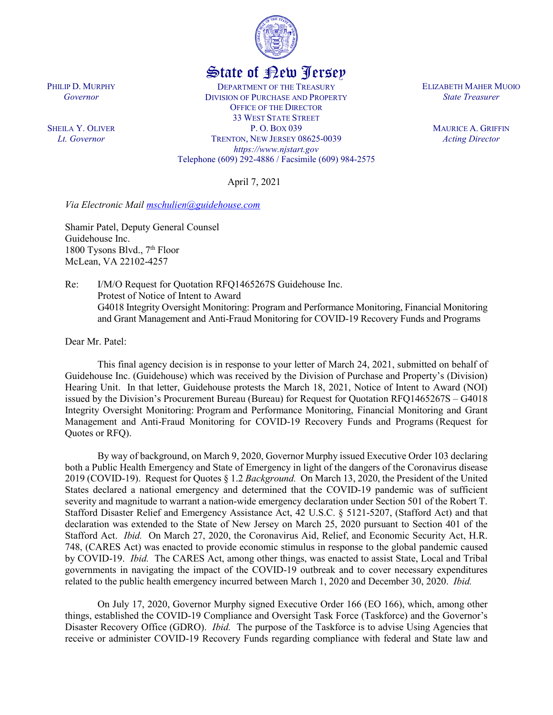

## State of New Jersey

DEPARTMENT OF THE TREASURY DIVISION OF PURCHASE AND PROPERTY OFFICE OF THE DIRECTOR 33 WEST STATE STREET P. O. BOX 039 TRENTON, NEW JERSEY 08625-0039 *https://www.njstart.gov* Telephone (609) 292-4886 / Facsimile (609) 984-2575

April 7, 2021

*Via Electronic Mail [mschulien@guidehouse.com](mailto:mschulien@guidehouse.com)*

Shamir Patel, Deputy General Counsel Guidehouse Inc. 1800 Tysons Blvd.,  $7<sup>th</sup>$  Floor McLean, VA 22102-4257

Re: I/M/O Request for Quotation RFQ1465267S Guidehouse Inc. Protest of Notice of Intent to Award G4018 Integrity Oversight Monitoring: Program and Performance Monitoring, Financial Monitoring and Grant Management and Anti-Fraud Monitoring for COVID-19 Recovery Funds and Programs

Dear Mr. Patel:

PHILIP D. MURPHY *Governor*

SHEILA Y. OLIVER *Lt. Governor*

> This final agency decision is in response to your letter of March 24, 2021, submitted on behalf of Guidehouse Inc. (Guidehouse) which was received by the Division of Purchase and Property's (Division) Hearing Unit. In that letter, Guidehouse protests the March 18, 2021, Notice of Intent to Award (NOI) issued by the Division's Procurement Bureau (Bureau) for Request for Quotation RFQ1465267S – G4018 Integrity Oversight Monitoring: Program and Performance Monitoring, Financial Monitoring and Grant Management and Anti-Fraud Monitoring for COVID-19 Recovery Funds and Programs (Request for Quotes or RFQ).

> By way of background, on March 9, 2020, Governor Murphy issued Executive Order 103 declaring both a Public Health Emergency and State of Emergency in light of the dangers of the Coronavirus disease 2019 (COVID-19). Request for Quotes § 1.2 *Background.* On March 13, 2020, the President of the United States declared a national emergency and determined that the COVID-19 pandemic was of sufficient severity and magnitude to warrant a nation-wide emergency declaration under Section 501 of the Robert T. Stafford Disaster Relief and Emergency Assistance Act, 42 U.S.C. § 5121-5207, (Stafford Act) and that declaration was extended to the State of New Jersey on March 25, 2020 pursuant to Section 401 of the Stafford Act. *Ibid.* On March 27, 2020, the Coronavirus Aid, Relief, and Economic Security Act, H.R. 748, (CARES Act) was enacted to provide economic stimulus in response to the global pandemic caused by COVID-19. *Ibid.* The CARES Act, among other things, was enacted to assist State, Local and Tribal governments in navigating the impact of the COVID-19 outbreak and to cover necessary expenditures related to the public health emergency incurred between March 1, 2020 and December 30, 2020. *Ibid.*

> On July 17, 2020, Governor Murphy signed Executive Order 166 (EO 166), which, among other things, established the COVID-19 Compliance and Oversight Task Force (Taskforce) and the Governor's Disaster Recovery Office (GDRO). *Ibid.* The purpose of the Taskforce is to advise Using Agencies that receive or administer COVID-19 Recovery Funds regarding compliance with federal and State law and

ELIZABETH MAHER MUOIO *State Treasurer*

> MAURICE A. GRIFFIN *Acting Director*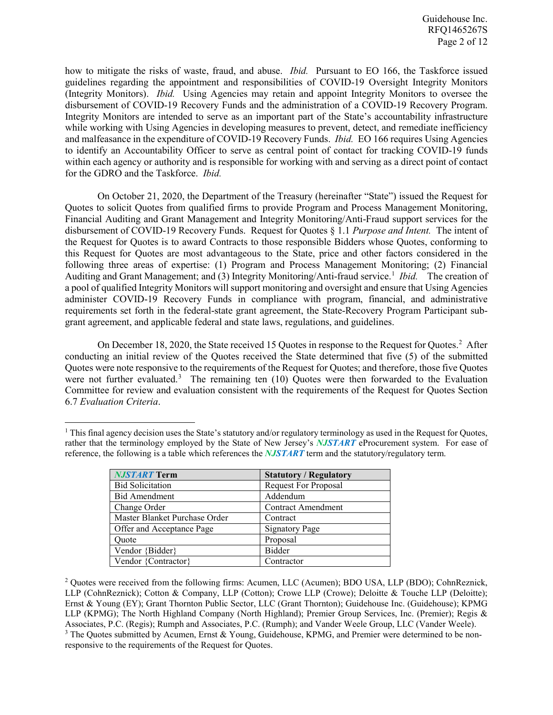how to mitigate the risks of waste, fraud, and abuse. *Ibid.* Pursuant to EO 166, the Taskforce issued guidelines regarding the appointment and responsibilities of COVID-19 Oversight Integrity Monitors (Integrity Monitors). *Ibid.* Using Agencies may retain and appoint Integrity Monitors to oversee the disbursement of COVID-19 Recovery Funds and the administration of a COVID-19 Recovery Program. Integrity Monitors are intended to serve as an important part of the State's accountability infrastructure while working with Using Agencies in developing measures to prevent, detect, and remediate inefficiency and malfeasance in the expenditure of COVID-19 Recovery Funds. *Ibid.* EO 166 requires Using Agencies to identify an Accountability Officer to serve as central point of contact for tracking COVID-19 funds within each agency or authority and is responsible for working with and serving as a direct point of contact for the GDRO and the Taskforce. *Ibid.*

On October 21, 2020, the Department of the Treasury (hereinafter "State") issued the Request for Quotes to solicit Quotes from qualified firms to provide Program and Process Management Monitoring, Financial Auditing and Grant Management and Integrity Monitoring/Anti-Fraud support services for the disbursement of COVID-19 Recovery Funds. Request for Quotes § 1.1 *Purpose and Intent.* The intent of the Request for Quotes is to award Contracts to those responsible Bidders whose Quotes, conforming to this Request for Quotes are most advantageous to the State, price and other factors considered in the following three areas of expertise: (1) Program and Process Management Monitoring; (2) Financial Auditing and Grant Management; and (3) Integrity Monitoring/Anti-fraud service.<sup>[1](#page-1-0)</sup> Ibid. The creation of a pool of qualified Integrity Monitors will support monitoring and oversight and ensure that Using Agencies administer COVID-19 Recovery Funds in compliance with program, financial, and administrative requirements set forth in the federal-state grant agreement, the State-Recovery Program Participant subgrant agreement, and applicable federal and state laws, regulations, and guidelines.

On December 18, [2](#page-1-1)020, the State received 15 Quotes in response to the Request for Quotes.<sup>2</sup> After conducting an initial review of the Quotes received the State determined that five (5) of the submitted Quotes were note responsive to the requirements of the Request for Quotes; and therefore, those five Quotes were not further evaluated.<sup>[3](#page-1-2)</sup> The remaining ten  $(10)$  Quotes were then forwarded to the Evaluation Committee for review and evaluation consistent with the requirements of the Request for Quotes Section 6.7 *Evaluation Criteria*.

<span id="page-1-0"></span> $1$  This final agency decision uses the State's statutory and/or regulatory terminology as used in the Request for Quotes, rather that the terminology employed by the State of New Jersey's *NJSTART* eProcurement system. For ease of reference, the following is a table which references the *NJSTART* term and the statutory/regulatory term.

| <b>NJSTART Term</b>           | <b>Statutory / Regulatory</b> |
|-------------------------------|-------------------------------|
| <b>Bid Solicitation</b>       | <b>Request For Proposal</b>   |
| <b>Bid Amendment</b>          | Addendum                      |
| Change Order                  | <b>Contract Amendment</b>     |
| Master Blanket Purchase Order | Contract                      |
| Offer and Acceptance Page     | <b>Signatory Page</b>         |
| Ouote                         | Proposal                      |
| Vendor {Bidder}               | <b>Bidder</b>                 |
| Vendor {Contractor}           | Contractor                    |

 $\overline{\phantom{a}}$ 

<span id="page-1-2"></span><span id="page-1-1"></span><sup>2</sup> Quotes were received from the following firms: Acumen, LLC (Acumen); BDO USA, LLP (BDO); CohnReznick, LLP (CohnReznick); Cotton & Company, LLP (Cotton); Crowe LLP (Crowe); Deloitte & Touche LLP (Deloitte); Ernst & Young (EY); Grant Thornton Public Sector, LLC (Grant Thornton); Guidehouse Inc. (Guidehouse); KPMG LLP (KPMG); The North Highland Company (North Highland); Premier Group Services, Inc. (Premier); Regis & Associates, P.C. (Regis); Rumph and Associates, P.C. (Rumph); and Vander Weele Group, LLC (Vander Weele). <sup>3</sup> The Quotes submitted by Acumen, Ernst & Young, Guidehouse, KPMG, and Premier were determined to be nonresponsive to the requirements of the Request for Quotes.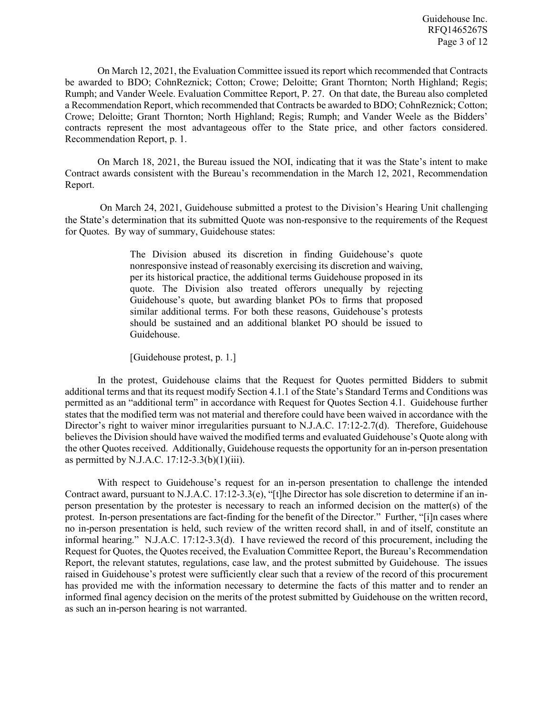On March 12, 2021, the Evaluation Committee issued its report which recommended that Contracts be awarded to BDO; CohnReznick; Cotton; Crowe; Deloitte; Grant Thornton; North Highland; Regis; Rumph; and Vander Weele. Evaluation Committee Report, P. 27. On that date, the Bureau also completed a Recommendation Report, which recommended that Contracts be awarded to BDO; CohnReznick; Cotton; Crowe; Deloitte; Grant Thornton; North Highland; Regis; Rumph; and Vander Weele as the Bidders' contracts represent the most advantageous offer to the State price, and other factors considered. Recommendation Report, p. 1.

On March 18, 2021, the Bureau issued the NOI, indicating that it was the State's intent to make Contract awards consistent with the Bureau's recommendation in the March 12, 2021, Recommendation Report.

On March 24, 2021, Guidehouse submitted a protest to the Division's Hearing Unit challenging the State's determination that its submitted Quote was non-responsive to the requirements of the Request for Quotes. By way of summary, Guidehouse states:

> The Division abused its discretion in finding Guidehouse's quote nonresponsive instead of reasonably exercising its discretion and waiving, per its historical practice, the additional terms Guidehouse proposed in its quote. The Division also treated offerors unequally by rejecting Guidehouse's quote, but awarding blanket POs to firms that proposed similar additional terms. For both these reasons, Guidehouse's protests should be sustained and an additional blanket PO should be issued to Guidehouse.

[Guidehouse protest, p. 1.]

In the protest, Guidehouse claims that the Request for Quotes permitted Bidders to submit additional terms and that its request modify Section 4.1.1 of the State's Standard Terms and Conditions was permitted as an "additional term" in accordance with Request for Quotes Section 4.1. Guidehouse further states that the modified term was not material and therefore could have been waived in accordance with the Director's right to waiver minor irregularities pursuant to N.J.A.C. 17:12-2.7(d). Therefore, Guidehouse believes the Division should have waived the modified terms and evaluated Guidehouse's Quote along with the other Quotes received. Additionally, Guidehouse requests the opportunity for an in-person presentation as permitted by N.J.A.C.  $17:12-3.3(b)(1)(iii)$ .

With respect to Guidehouse's request for an in-person presentation to challenge the intended Contract award, pursuant to N.J.A.C. 17:12-3.3(e), "[t]he Director has sole discretion to determine if an inperson presentation by the protester is necessary to reach an informed decision on the matter(s) of the protest. In-person presentations are fact-finding for the benefit of the Director." Further, "[i]n cases where no in-person presentation is held, such review of the written record shall, in and of itself, constitute an informal hearing." N.J.A.C. 17:12-3.3(d). I have reviewed the record of this procurement, including the Request for Quotes, the Quotes received, the Evaluation Committee Report, the Bureau's Recommendation Report, the relevant statutes, regulations, case law, and the protest submitted by Guidehouse. The issues raised in Guidehouse's protest were sufficiently clear such that a review of the record of this procurement has provided me with the information necessary to determine the facts of this matter and to render an informed final agency decision on the merits of the protest submitted by Guidehouse on the written record, as such an in-person hearing is not warranted.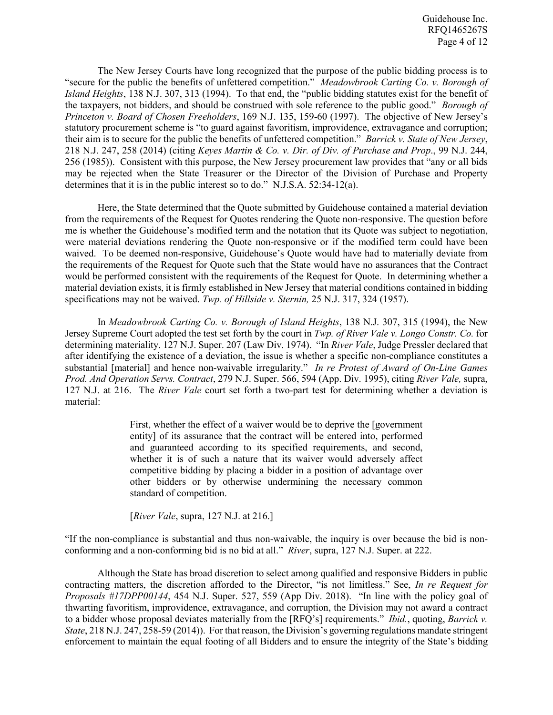The New Jersey Courts have long recognized that the purpose of the public bidding process is to "secure for the public the benefits of unfettered competition." *Meadowbrook Carting Co. v. Borough of Island Heights*, 138 N.J. 307, 313 (1994). To that end, the "public bidding statutes exist for the benefit of the taxpayers, not bidders, and should be construed with sole reference to the public good." *Borough of Princeton v. Board of Chosen Freeholders*, 169 N.J. 135, 159-60 (1997). The objective of New Jersey's statutory procurement scheme is "to guard against favoritism, improvidence, extravagance and corruption; their aim is to secure for the public the benefits of unfettered competition." *Barrick v. State of New Jersey*, 218 N.J. 247, 258 (2014) (citing *Keyes Martin & Co. v. Dir. of Div. of Purchase and Prop*., 99 N.J. 244, 256 (1985)). Consistent with this purpose, the New Jersey procurement law provides that "any or all bids may be rejected when the State Treasurer or the Director of the Division of Purchase and Property determines that it is in the public interest so to do." N.J.S.A. 52:34-12(a).

Here, the State determined that the Quote submitted by Guidehouse contained a material deviation from the requirements of the Request for Quotes rendering the Quote non-responsive. The question before me is whether the Guidehouse's modified term and the notation that its Quote was subject to negotiation, were material deviations rendering the Quote non-responsive or if the modified term could have been waived. To be deemed non-responsive, Guidehouse's Quote would have had to materially deviate from the requirements of the Request for Quote such that the State would have no assurances that the Contract would be performed consistent with the requirements of the Request for Quote. In determining whether a material deviation exists, it is firmly established in New Jersey that material conditions contained in bidding specifications may not be waived. *Twp. of Hillside v. Sternin,* 25 N.J. 317, 324 (1957).

In *Meadowbrook Carting Co. v. Borough of Island Heights*, 138 N.J. 307, 315 (1994), the New Jersey Supreme Court adopted the test set forth by the court in *Twp. of River Vale v. Longo Constr. Co.* for determining materiality. 127 N.J. Super. 207 (Law Div. 1974). "In *River Vale*, Judge Pressler declared that after identifying the existence of a deviation, the issue is whether a specific non-compliance constitutes a substantial [material] and hence non-waivable irregularity." *In re Protest of Award of On-Line Games Prod. And Operation Servs. Contract*, 279 N.J. Super. 566, 594 (App. Div. 1995), citing *River Vale,* supra, 127 N.J. at 216. The *River Vale* court set forth a two-part test for determining whether a deviation is material:

> First, whether the effect of a waiver would be to deprive the [government entity] of its assurance that the contract will be entered into, performed and guaranteed according to its specified requirements, and second, whether it is of such a nature that its waiver would adversely affect competitive bidding by placing a bidder in a position of advantage over other bidders or by otherwise undermining the necessary common standard of competition.

[*River Vale*, supra, 127 N.J. at 216.]

"If the non-compliance is substantial and thus non-waivable, the inquiry is over because the bid is nonconforming and a non-conforming bid is no bid at all." *River*, supra, 127 N.J. Super. at 222.

Although the State has broad discretion to select among qualified and responsive Bidders in public contracting matters, the discretion afforded to the Director, "is not limitless." See, *In re Request for Proposals #17DPP00144*, 454 N.J. Super. 527, 559 (App Div. 2018). "In line with the policy goal of thwarting favoritism, improvidence, extravagance, and corruption, the Division may not award a contract to a bidder whose proposal deviates materially from the [RFQ's] requirements." *Ibid.*, quoting, *Barrick v. State*, 218 N.J. 247, 258-59 (2014)). For that reason, the Division's governing regulations mandate stringent enforcement to maintain the equal footing of all Bidders and to ensure the integrity of the State's bidding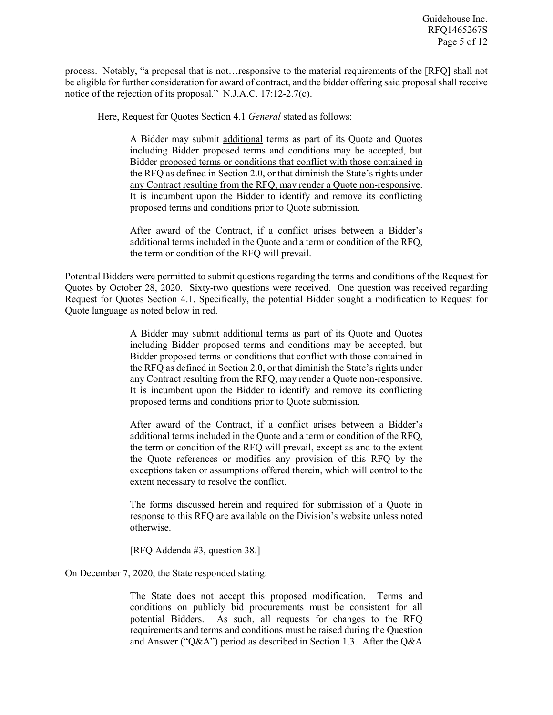process. Notably, "a proposal that is not…responsive to the material requirements of the [RFQ] shall not be eligible for further consideration for award of contract, and the bidder offering said proposal shall receive notice of the rejection of its proposal." N.J.A.C. 17:12-2.7(c).

Here, Request for Quotes Section 4.1 *General* stated as follows:

A Bidder may submit additional terms as part of its Quote and Quotes including Bidder proposed terms and conditions may be accepted, but Bidder proposed terms or conditions that conflict with those contained in the RFQ as defined in Section 2.0, or that diminish the State's rights under any Contract resulting from the RFQ, may render a Quote non-responsive. It is incumbent upon the Bidder to identify and remove its conflicting proposed terms and conditions prior to Quote submission.

After award of the Contract, if a conflict arises between a Bidder's additional terms included in the Quote and a term or condition of the RFQ, the term or condition of the RFQ will prevail.

Potential Bidders were permitted to submit questions regarding the terms and conditions of the Request for Quotes by October 28, 2020. Sixty-two questions were received. One question was received regarding Request for Quotes Section 4.1. Specifically, the potential Bidder sought a modification to Request for Quote language as noted below in red.

> A Bidder may submit additional terms as part of its Quote and Quotes including Bidder proposed terms and conditions may be accepted, but Bidder proposed terms or conditions that conflict with those contained in the RFQ as defined in Section 2.0, or that diminish the State's rights under any Contract resulting from the RFQ, may render a Quote non-responsive. It is incumbent upon the Bidder to identify and remove its conflicting proposed terms and conditions prior to Quote submission.

> After award of the Contract, if a conflict arises between a Bidder's additional terms included in the Quote and a term or condition of the RFQ, the term or condition of the RFQ will prevail, except as and to the extent the Quote references or modifies any provision of this RFQ by the exceptions taken or assumptions offered therein, which will control to the extent necessary to resolve the conflict.

> The forms discussed herein and required for submission of a Quote in response to this RFQ are available on the Division's website unless noted otherwise.

[RFQ Addenda #3, question 38.]

## On December 7, 2020, the State responded stating:

The State does not accept this proposed modification. Terms and conditions on publicly bid procurements must be consistent for all potential Bidders. As such, all requests for changes to the RFQ requirements and terms and conditions must be raised during the Question and Answer ("Q&A") period as described in Section 1.3. After the Q&A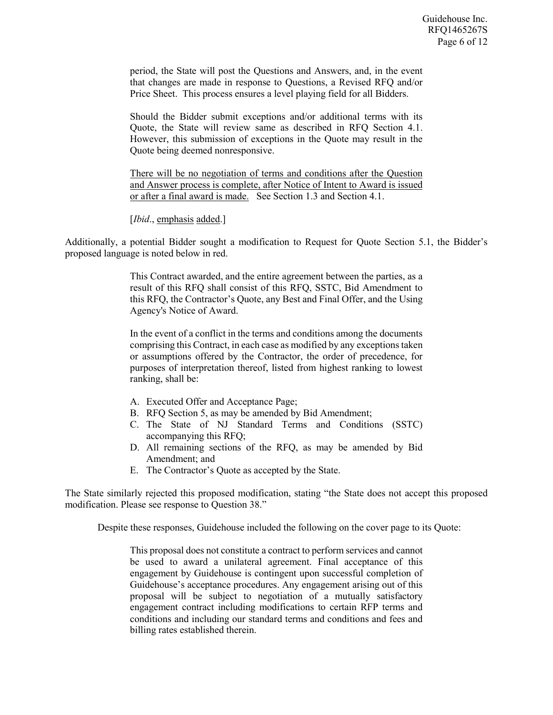period, the State will post the Questions and Answers, and, in the event that changes are made in response to Questions, a Revised RFQ and/or Price Sheet. This process ensures a level playing field for all Bidders.

Should the Bidder submit exceptions and/or additional terms with its Quote, the State will review same as described in RFQ Section 4.1. However, this submission of exceptions in the Quote may result in the Quote being deemed nonresponsive.

There will be no negotiation of terms and conditions after the Question and Answer process is complete, after Notice of Intent to Award is issued or after a final award is made. See Section 1.3 and Section 4.1.

[*Ibid*., emphasis added.]

Additionally, a potential Bidder sought a modification to Request for Quote Section 5.1, the Bidder's proposed language is noted below in red.

> This Contract awarded, and the entire agreement between the parties, as a result of this RFQ shall consist of this RFQ, SSTC, Bid Amendment to this RFQ, the Contractor's Quote, any Best and Final Offer, and the Using Agency's Notice of Award.

> In the event of a conflict in the terms and conditions among the documents comprising this Contract, in each case as modified by any exceptions taken or assumptions offered by the Contractor, the order of precedence, for purposes of interpretation thereof, listed from highest ranking to lowest ranking, shall be:

- A. Executed Offer and Acceptance Page;
- B. RFQ Section 5, as may be amended by Bid Amendment;
- C. The State of NJ Standard Terms and Conditions (SSTC) accompanying this RFQ;
- D. All remaining sections of the RFQ, as may be amended by Bid Amendment; and
- E. The Contractor's Quote as accepted by the State.

The State similarly rejected this proposed modification, stating "the State does not accept this proposed modification. Please see response to Question 38."

Despite these responses, Guidehouse included the following on the cover page to its Quote:

This proposal does not constitute a contract to perform services and cannot be used to award a unilateral agreement. Final acceptance of this engagement by Guidehouse is contingent upon successful completion of Guidehouse's acceptance procedures. Any engagement arising out of this proposal will be subject to negotiation of a mutually satisfactory engagement contract including modifications to certain RFP terms and conditions and including our standard terms and conditions and fees and billing rates established therein.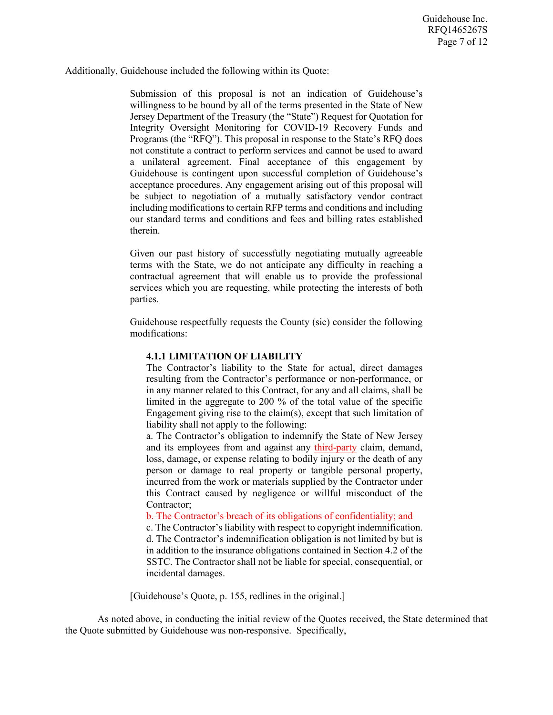Additionally, Guidehouse included the following within its Quote:

Submission of this proposal is not an indication of Guidehouse's willingness to be bound by all of the terms presented in the State of New Jersey Department of the Treasury (the "State") Request for Quotation for Integrity Oversight Monitoring for COVID-19 Recovery Funds and Programs (the "RFQ"). This proposal in response to the State's RFQ does not constitute a contract to perform services and cannot be used to award a unilateral agreement. Final acceptance of this engagement by Guidehouse is contingent upon successful completion of Guidehouse's acceptance procedures. Any engagement arising out of this proposal will be subject to negotiation of a mutually satisfactory vendor contract including modifications to certain RFP terms and conditions and including our standard terms and conditions and fees and billing rates established therein.

Given our past history of successfully negotiating mutually agreeable terms with the State, we do not anticipate any difficulty in reaching a contractual agreement that will enable us to provide the professional services which you are requesting, while protecting the interests of both parties.

Guidehouse respectfully requests the County (sic) consider the following modifications:

## **4.1.1 LIMITATION OF LIABILITY**

The Contractor's liability to the State for actual, direct damages resulting from the Contractor's performance or non-performance, or in any manner related to this Contract, for any and all claims, shall be limited in the aggregate to 200 % of the total value of the specific Engagement giving rise to the claim(s), except that such limitation of liability shall not apply to the following:

a. The Contractor's obligation to indemnify the State of New Jersey and its employees from and against any third-party claim, demand, loss, damage, or expense relating to bodily injury or the death of any person or damage to real property or tangible personal property, incurred from the work or materials supplied by the Contractor under this Contract caused by negligence or willful misconduct of the Contractor;

b. The Contractor's breach of its obligations of confidentiality; and

c. The Contractor's liability with respect to copyright indemnification. d. The Contractor's indemnification obligation is not limited by but is in addition to the insurance obligations contained in Section 4.2 of the SSTC. The Contractor shall not be liable for special, consequential, or incidental damages.

[Guidehouse's Quote, p. 155, redlines in the original.]

As noted above, in conducting the initial review of the Quotes received, the State determined that the Quote submitted by Guidehouse was non-responsive. Specifically,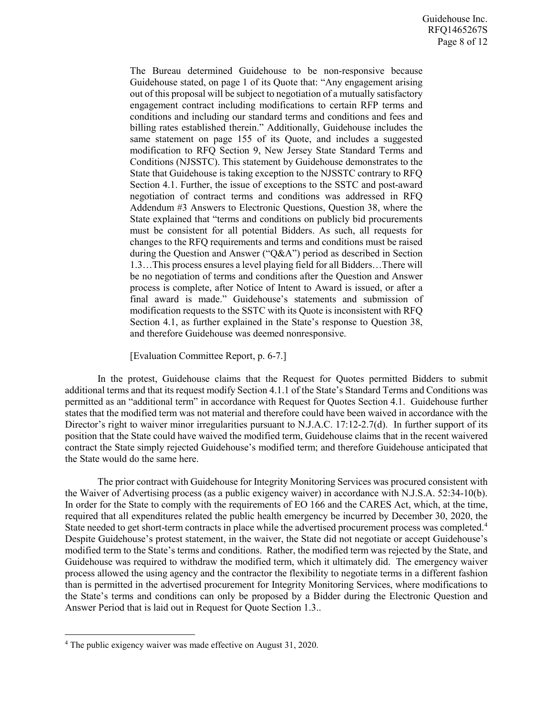The Bureau determined Guidehouse to be non-responsive because Guidehouse stated, on page 1 of its Quote that: "Any engagement arising out of this proposal will be subject to negotiation of a mutually satisfactory engagement contract including modifications to certain RFP terms and conditions and including our standard terms and conditions and fees and billing rates established therein." Additionally, Guidehouse includes the same statement on page 155 of its Quote, and includes a suggested modification to RFQ Section 9, New Jersey State Standard Terms and Conditions (NJSSTC). This statement by Guidehouse demonstrates to the State that Guidehouse is taking exception to the NJSSTC contrary to RFQ Section 4.1. Further, the issue of exceptions to the SSTC and post-award negotiation of contract terms and conditions was addressed in RFQ Addendum #3 Answers to Electronic Questions, Question 38, where the State explained that "terms and conditions on publicly bid procurements must be consistent for all potential Bidders. As such, all requests for changes to the RFQ requirements and terms and conditions must be raised during the Question and Answer ("Q&A") period as described in Section 1.3…This process ensures a level playing field for all Bidders…There will be no negotiation of terms and conditions after the Question and Answer process is complete, after Notice of Intent to Award is issued, or after a final award is made." Guidehouse's statements and submission of modification requests to the SSTC with its Quote is inconsistent with RFQ Section 4.1, as further explained in the State's response to Question 38, and therefore Guidehouse was deemed nonresponsive.

[Evaluation Committee Report, p. 6-7.]

In the protest, Guidehouse claims that the Request for Quotes permitted Bidders to submit additional terms and that its request modify Section 4.1.1 of the State's Standard Terms and Conditions was permitted as an "additional term" in accordance with Request for Quotes Section 4.1. Guidehouse further states that the modified term was not material and therefore could have been waived in accordance with the Director's right to waiver minor irregularities pursuant to N.J.A.C. 17:12-2.7(d). In further support of its position that the State could have waived the modified term, Guidehouse claims that in the recent waivered contract the State simply rejected Guidehouse's modified term; and therefore Guidehouse anticipated that the State would do the same here.

The prior contract with Guidehouse for Integrity Monitoring Services was procured consistent with the Waiver of Advertising process (as a public exigency waiver) in accordance with N.J.S.A. 52:34-10(b). In order for the State to comply with the requirements of EO 166 and the CARES Act, which, at the time, required that all expenditures related the public health emergency be incurred by December 30, 2020, the State needed to get short-term contracts in place while the advertised procurement process was completed.<sup>[4](#page-7-0)</sup> Despite Guidehouse's protest statement, in the waiver, the State did not negotiate or accept Guidehouse's modified term to the State's terms and conditions. Rather, the modified term was rejected by the State, and Guidehouse was required to withdraw the modified term, which it ultimately did. The emergency waiver process allowed the using agency and the contractor the flexibility to negotiate terms in a different fashion than is permitted in the advertised procurement for Integrity Monitoring Services, where modifications to the State's terms and conditions can only be proposed by a Bidder during the Electronic Question and Answer Period that is laid out in Request for Quote Section 1.3..

l

<span id="page-7-0"></span><sup>4</sup> The public exigency waiver was made effective on August 31, 2020.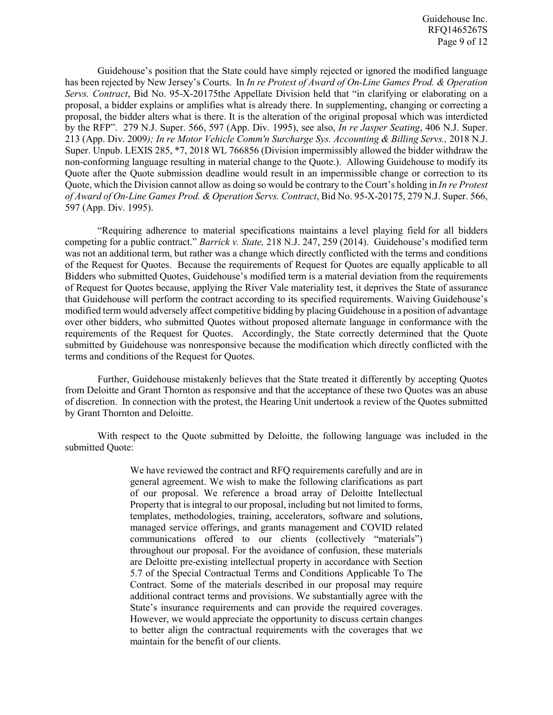Guidehouse's position that the State could have simply rejected or ignored the modified language has been rejected by New Jersey's Courts. In *In re Protest of Award of On-Line Games Prod. & Operation Servs. Contract*, Bid No. 95-X-20175the Appellate Division held that "in clarifying or elaborating on a proposal, a bidder explains or amplifies what is already there. In supplementing, changing or correcting a proposal, the bidder alters what is there. It is the alteration of the original proposal which was interdicted by the RFP". 279 N.J. Super. 566, 597 (App. Div. 1995), see also, *In re Jasper Seating*, 406 N.J. Super. 213 (App. Div. 2009*); In re Motor Vehicle Comm'n Surcharge Sys. Accounting & Billing Servs.,* 2018 N.J. Super. Unpub. LEXIS 285, \*7, 2018 WL 766856 (Division impermissibly allowed the bidder withdraw the non-conforming language resulting in material change to the Quote.). Allowing Guidehouse to modify its Quote after the Quote submission deadline would result in an impermissible change or correction to its Quote, which the Division cannot allow as doing so would be contrary to the Court's holding in *In re Protest of Award of On-Line Games Prod. & Operation Servs. Contract*, Bid No. 95-X-20175, 279 N.J. Super. 566, 597 (App. Div. 1995).

"Requiring adherence to material specifications maintains a level playing field for all bidders competing for a public contract." *Barrick v. State,* 218 N.J. 247, 259 (2014). Guidehouse's modified term was not an additional term, but rather was a change which directly conflicted with the terms and conditions of the Request for Quotes. Because the requirements of Request for Quotes are equally applicable to all Bidders who submitted Quotes, Guidehouse's modified term is a material deviation from the requirements of Request for Quotes because, applying the River Vale materiality test, it deprives the State of assurance that Guidehouse will perform the contract according to its specified requirements. Waiving Guidehouse's modified term would adversely affect competitive bidding by placing Guidehouse in a position of advantage over other bidders, who submitted Quotes without proposed alternate language in conformance with the requirements of the Request for Quotes. Accordingly, the State correctly determined that the Quote submitted by Guidehouse was nonresponsive because the modification which directly conflicted with the terms and conditions of the Request for Quotes.

Further, Guidehouse mistakenly believes that the State treated it differently by accepting Quotes from Deloitte and Grant Thornton as responsive and that the acceptance of these two Quotes was an abuse of discretion. In connection with the protest, the Hearing Unit undertook a review of the Quotes submitted by Grant Thornton and Deloitte.

With respect to the Quote submitted by Deloitte, the following language was included in the submitted Quote:

> We have reviewed the contract and RFQ requirements carefully and are in general agreement. We wish to make the following clarifications as part of our proposal. We reference a broad array of Deloitte Intellectual Property that is integral to our proposal, including but not limited to forms, templates, methodologies, training, accelerators, software and solutions, managed service offerings, and grants management and COVID related communications offered to our clients (collectively "materials") throughout our proposal. For the avoidance of confusion, these materials are Deloitte pre-existing intellectual property in accordance with Section 5.7 of the Special Contractual Terms and Conditions Applicable To The Contract. Some of the materials described in our proposal may require additional contract terms and provisions. We substantially agree with the State's insurance requirements and can provide the required coverages. However, we would appreciate the opportunity to discuss certain changes to better align the contractual requirements with the coverages that we maintain for the benefit of our clients.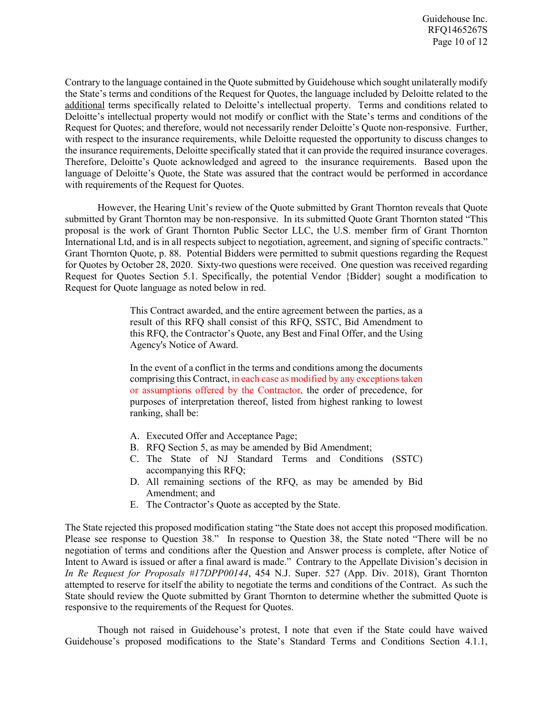Contrary to the language contained in the Quote submitted by Guidehouse which sought unilaterally modify the State's terms and conditions of the Request for Quotes, the language included by Deloitte related to the additional terms specifically related to Deloitte's intellectual property. Terms and conditions related to Deloitte's intellectual property would not modify or conflict with the State's terms and conditions of the Request for Quotes; and therefore, would not necessarily render Deloitte's Quote non-responsive. Further, with respect to the insurance requirements, while Deloitte requested the opportunity to discuss changes to the insurance requirements, Deloitte specifically stated that it can provide the required insurance coverages. Therefore, Deloitte's Quote acknowledged and agreed to the insurance requirements. Based upon the language of Deloitte's Quote, the State was assured that the contract would be performed in accordance with requirements of the Request for Ouotes.

However, the Hearing Unit's review of the Quote submitted by Grant Thornton reveals that Quote submitted by Grant Thornton may be non-responsive. In its submitted Quote Grant Thornton stated "This proposal is the work of Grant Thornton Public Sector LLC, the U.S. member firm of Grant Thornton International Ltd, and is in all respects subject to negotiation, agreement, and signing of specific contracts." Grant Thornton Quote, p. 88. Potential Bidders were permitted to submit questions regarding the Request for Quotes by October 28, 2020. Sixty-two questions were received. One question was received regarding Request for Quotes Section 5.1. Specifically, the potential Vendor {Bidder} sought a modification to Request for Quote language as noted below in red.

> This Contract awarded, and the entire agreement between the parties, as a result of this RFQ shall consist of this RFQ, SSTC, Bid Amendment to this RFQ, the Contractor's Quote, any Best and Final Offer, and the Using Agency's Notice of Award.

> In the event of a conflict in the terms and conditions among the documents comprising this Contract, in each case as modified by any exceptions taken or assumptions offered by the Contractor, the order of precedence, for purposes of interpretation thereof, listed from highest ranking to lowest ranking, shall be:

- A. Executed Offer and Acceptance Page;
- B. RFQ Section 5, as may be amended by Bid Amendment;
- C. The State of NJ Standard Terms and Conditions (SSTC) accompanying this RFQ;
- D. All remaining sections of the RFQ, as may be amended by Bid Amendment; and
- E. The Contractor's Quote as accepted by the State.

The State rejected this proposed modification stating "the State does not accept this proposed modification. Please see response to Question 38." In response to Question 38, the State noted "There will be no negotiation of terms and conditions after the Question and Answer process is complete, after Notice of Intent to Award is issued or after a final award is made." Contrary to the Appellate Division's decision in *In Re Request for Proposals #17DPP00144*, 454 N.J. Super. 527 (App. Div. 2018), Grant Thornton attempted to reserve for itself the ability to negotiate the terms and conditions of the Contract. As such the State should review the Quote submitted by Grant Thornton to determine whether the submitted Quote is responsive to the requirements of the Request for Quotes.

Though not raised in Guidehouse's protest, I note that even if the State could have waived Guidehouse's proposed modifications to the State's Standard Terms and Conditions Section 4.1.1,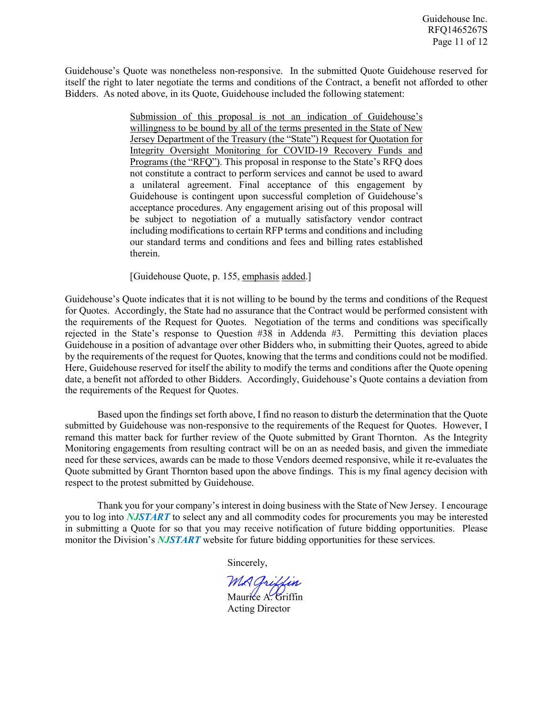Guidehouse's Quote was nonetheless non-responsive. In the submitted Quote Guidehouse reserved for itself the right to later negotiate the terms and conditions of the Contract, a benefit not afforded to other Bidders. As noted above, in its Quote, Guidehouse included the following statement:

> Submission of this proposal is not an indication of Guidehouse's willingness to be bound by all of the terms presented in the State of New Jersey Department of the Treasury (the "State") Request for Quotation for Integrity Oversight Monitoring for COVID-19 Recovery Funds and Programs (the "RFQ"). This proposal in response to the State's RFQ does not constitute a contract to perform services and cannot be used to award a unilateral agreement. Final acceptance of this engagement by Guidehouse is contingent upon successful completion of Guidehouse's acceptance procedures. Any engagement arising out of this proposal will be subject to negotiation of a mutually satisfactory vendor contract including modifications to certain RFP terms and conditions and including our standard terms and conditions and fees and billing rates established therein.

[Guidehouse Quote, p. 155, emphasis added.]

Guidehouse's Quote indicates that it is not willing to be bound by the terms and conditions of the Request for Quotes. Accordingly, the State had no assurance that the Contract would be performed consistent with the requirements of the Request for Quotes. Negotiation of the terms and conditions was specifically rejected in the State's response to Question #38 in Addenda #3. Permitting this deviation places Guidehouse in a position of advantage over other Bidders who, in submitting their Quotes, agreed to abide by the requirements of the request for Quotes, knowing that the terms and conditions could not be modified. Here, Guidehouse reserved for itself the ability to modify the terms and conditions after the Quote opening date, a benefit not afforded to other Bidders. Accordingly, Guidehouse's Quote contains a deviation from the requirements of the Request for Quotes.

Based upon the findings set forth above, I find no reason to disturb the determination that the Quote submitted by Guidehouse was non-responsive to the requirements of the Request for Quotes. However, I remand this matter back for further review of the Quote submitted by Grant Thornton. As the Integrity Monitoring engagements from resulting contract will be on an as needed basis, and given the immediate need for these services, awards can be made to those Vendors deemed responsive, while it re-evaluates the Quote submitted by Grant Thornton based upon the above findings. This is my final agency decision with respect to the protest submitted by Guidehouse.

Thank you for your company's interest in doing business with the State of New Jersey. I encourage you to log into *NJSTART* to select any and all commodity codes for procurements you may be interested in submitting a Quote for so that you may receive notification of future bidding opportunities. Please monitor the Division's *NJSTART* website for future bidding opportunities for these services.

Sincerely,

MA Griffin

Maurice A. Griffin Acting Director